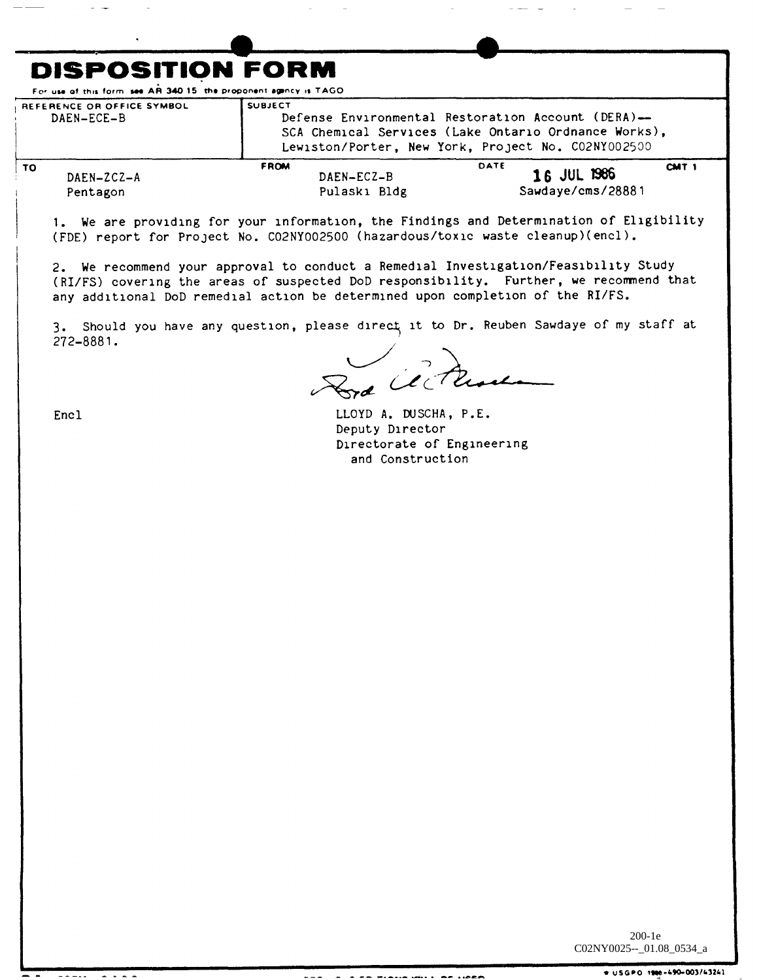## **DISPOSITION FORM**

For use of this form see AR 340.15, the proponent agency is TAGO

| REFERENCE OR OFFICE SYMBOL<br>DAEN-ECE-B | <b>SUBJECT</b><br>Defense Environmental Restoration Account (DERA)-<br>SCA Chemical Services (Lake Ontario Ordnance Works),<br>Lewiston/Porter, New York, Project No. CO2NY002500 |                                                              |
|------------------------------------------|-----------------------------------------------------------------------------------------------------------------------------------------------------------------------------------|--------------------------------------------------------------|
| то<br>$DAEN-ZCZ-A$<br>Pentagon           | <b>FROM</b><br>$DAEN-ECZ-B$<br>Pulaski Bldg                                                                                                                                       | DATE<br>CMT <sub>1</sub><br>16 JUL 1986<br>Sawdaye/cms/28881 |

1. We are providing for your information, the Findings and Determination of Eligibility (FDE) report for Project No. CO2NY002500 (hazardous/toxic waste cleanup)(encl).

2. We recommend your approval to conduct a Remedial Investigation/Feasibility Study (RI/FS) covering the areas of suspected DoD responsibility. Further, we recommend that any additional DoD remedial action be determined upon completion of the RI/FS.

3. Should you have any question, please direct it to Dr. Reuben Sawdaye of my staff at 272-8881.

And centre

Encl

Pentagon

LLOYD A. DUSCHA, P.E. Deputy Director Directorate of Engineering and Construction

 $200-1e$ C02NY0025--\_01.08\_0534\_a